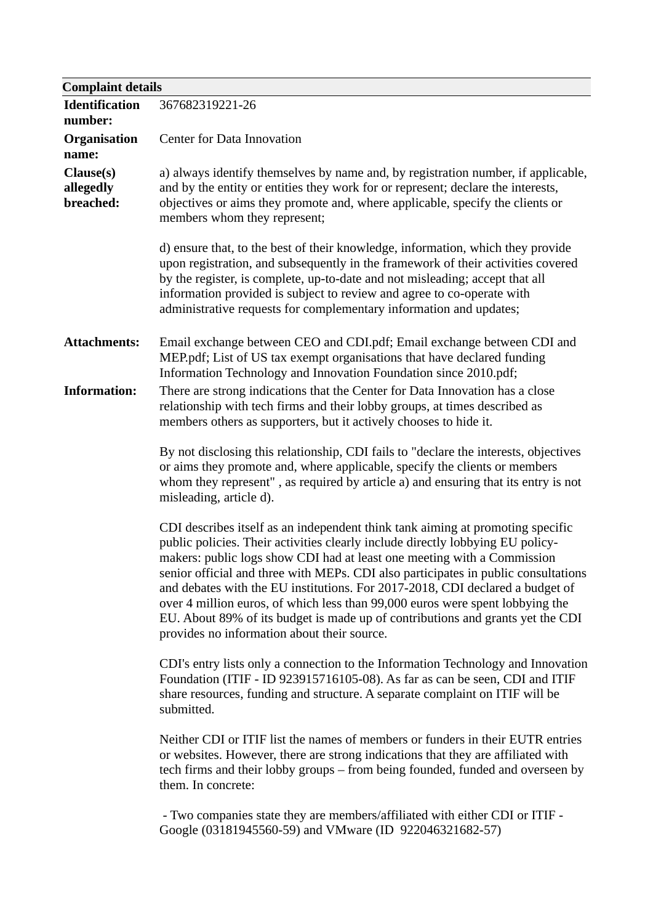| <b>Complaint details</b>            |                                                                                                                                                                                                                                                                                                                                                                                                                                                                                                                                                                                                                                      |  |
|-------------------------------------|--------------------------------------------------------------------------------------------------------------------------------------------------------------------------------------------------------------------------------------------------------------------------------------------------------------------------------------------------------------------------------------------------------------------------------------------------------------------------------------------------------------------------------------------------------------------------------------------------------------------------------------|--|
| <b>Identification</b><br>number:    | 367682319221-26                                                                                                                                                                                                                                                                                                                                                                                                                                                                                                                                                                                                                      |  |
| <b>Organisation</b><br>name:        | Center for Data Innovation                                                                                                                                                                                                                                                                                                                                                                                                                                                                                                                                                                                                           |  |
| Clause(s)<br>allegedly<br>breached: | a) always identify themselves by name and, by registration number, if applicable,<br>and by the entity or entities they work for or represent; declare the interests,<br>objectives or aims they promote and, where applicable, specify the clients or<br>members whom they represent;                                                                                                                                                                                                                                                                                                                                               |  |
|                                     | d) ensure that, to the best of their knowledge, information, which they provide<br>upon registration, and subsequently in the framework of their activities covered<br>by the register, is complete, up-to-date and not misleading; accept that all<br>information provided is subject to review and agree to co-operate with<br>administrative requests for complementary information and updates;                                                                                                                                                                                                                                  |  |
| <b>Attachments:</b>                 | Email exchange between CEO and CDI.pdf; Email exchange between CDI and<br>MEP.pdf; List of US tax exempt organisations that have declared funding<br>Information Technology and Innovation Foundation since 2010.pdf;                                                                                                                                                                                                                                                                                                                                                                                                                |  |
| <b>Information:</b>                 | There are strong indications that the Center for Data Innovation has a close<br>relationship with tech firms and their lobby groups, at times described as<br>members others as supporters, but it actively chooses to hide it.                                                                                                                                                                                                                                                                                                                                                                                                      |  |
|                                     | By not disclosing this relationship, CDI fails to "declare the interests, objectives<br>or aims they promote and, where applicable, specify the clients or members<br>whom they represent", as required by article a) and ensuring that its entry is not<br>misleading, article d).                                                                                                                                                                                                                                                                                                                                                  |  |
|                                     | CDI describes itself as an independent think tank aiming at promoting specific<br>public policies. Their activities clearly include directly lobbying EU policy-<br>makers: public logs show CDI had at least one meeting with a Commission<br>senior official and three with MEPs. CDI also participates in public consultations<br>and debates with the EU institutions. For 2017-2018, CDI declared a budget of<br>over 4 million euros, of which less than 99,000 euros were spent lobbying the<br>EU. About 89% of its budget is made up of contributions and grants yet the CDI<br>provides no information about their source. |  |
|                                     | CDI's entry lists only a connection to the Information Technology and Innovation<br>Foundation (ITIF - ID 923915716105-08). As far as can be seen, CDI and ITIF<br>share resources, funding and structure. A separate complaint on ITIF will be<br>submitted.                                                                                                                                                                                                                                                                                                                                                                        |  |
|                                     | Neither CDI or ITIF list the names of members or funders in their EUTR entries<br>or websites. However, there are strong indications that they are affiliated with<br>tech firms and their lobby groups – from being founded, funded and overseen by<br>them. In concrete:                                                                                                                                                                                                                                                                                                                                                           |  |
|                                     | - Two companies state they are members/affiliated with either CDI or ITIF -<br>Google (03181945560-59) and VMware (ID 922046321682-57)                                                                                                                                                                                                                                                                                                                                                                                                                                                                                               |  |
|                                     |                                                                                                                                                                                                                                                                                                                                                                                                                                                                                                                                                                                                                                      |  |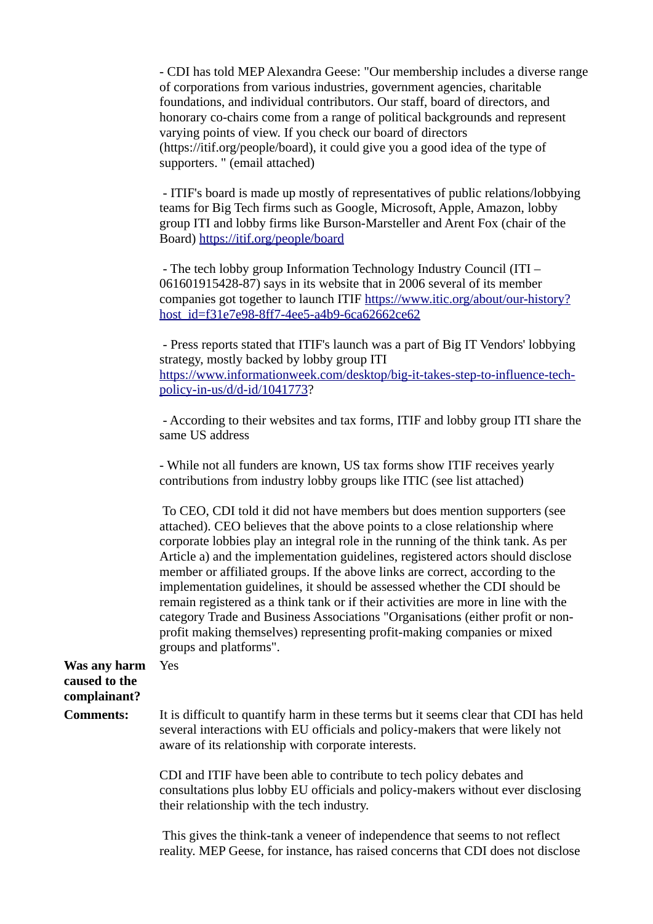- CDI has told MEP Alexandra Geese: "Our membership includes a diverse range of corporations from various industries, government agencies, charitable foundations, and individual contributors. Our staff, board of directors, and honorary co-chairs come from a range of political backgrounds and represent varying points of view. If you check our board of directors (https://itif.org/people/board), it could give you a good idea of the type of supporters. " (email attached)

 - ITIF's board is made up mostly of representatives of public relations/lobbying teams for Big Tech firms such as Google, Microsoft, Apple, Amazon, lobby group ITI and lobby firms like Burson-Marsteller and Arent Fox (chair of the Board) <https://itif.org/people/board>

 - The tech lobby group Information Technology Industry Council (ITI – 061601915428-87) says in its website that in 2006 several of its member companies got together to launch ITIF [https://www.itic.org/about/our-history?](https://www.itic.org/about/our-history?host_id=f31e7e98-8ff7-4ee5-a4b9-6ca62662ce62) [host\\_id=f31e7e98-8ff7-4ee5-a4b9-6ca62662ce62](https://www.itic.org/about/our-history?host_id=f31e7e98-8ff7-4ee5-a4b9-6ca62662ce62)

 - Press reports stated that ITIF's launch was a part of Big IT Vendors' lobbying strategy, mostly backed by lobby group ITI [https://www.informationweek.com/desktop/big-it-takes-step-to-influence-tech](https://www.informationweek.com/desktop/big-it-takes-step-to-influence-tech-policy-in-us/d/d-id/1041773)[policy-in-us/d/d-id/1041773?](https://www.informationweek.com/desktop/big-it-takes-step-to-influence-tech-policy-in-us/d/d-id/1041773)

 - According to their websites and tax forms, ITIF and lobby group ITI share the same US address

- While not all funders are known, US tax forms show ITIF receives yearly contributions from industry lobby groups like ITIC (see list attached)

 To CEO, CDI told it did not have members but does mention supporters (see attached). CEO believes that the above points to a close relationship where corporate lobbies play an integral role in the running of the think tank. As per Article a) and the implementation guidelines, registered actors should disclose member or affiliated groups. If the above links are correct, according to the implementation guidelines, it should be assessed whether the CDI should be remain registered as a think tank or if their activities are more in line with the category Trade and Business Associations "Organisations (either profit or nonprofit making themselves) representing profit-making companies or mixed groups and platforms".

## **Was any harm caused to the complainant?**

Yes

**Comments:** It is difficult to quantify harm in these terms but it seems clear that CDI has held several interactions with EU officials and policy-makers that were likely not aware of its relationship with corporate interests.

> CDI and ITIF have been able to contribute to tech policy debates and consultations plus lobby EU officials and policy-makers without ever disclosing their relationship with the tech industry.

> This gives the think-tank a veneer of independence that seems to not reflect reality. MEP Geese, for instance, has raised concerns that CDI does not disclose